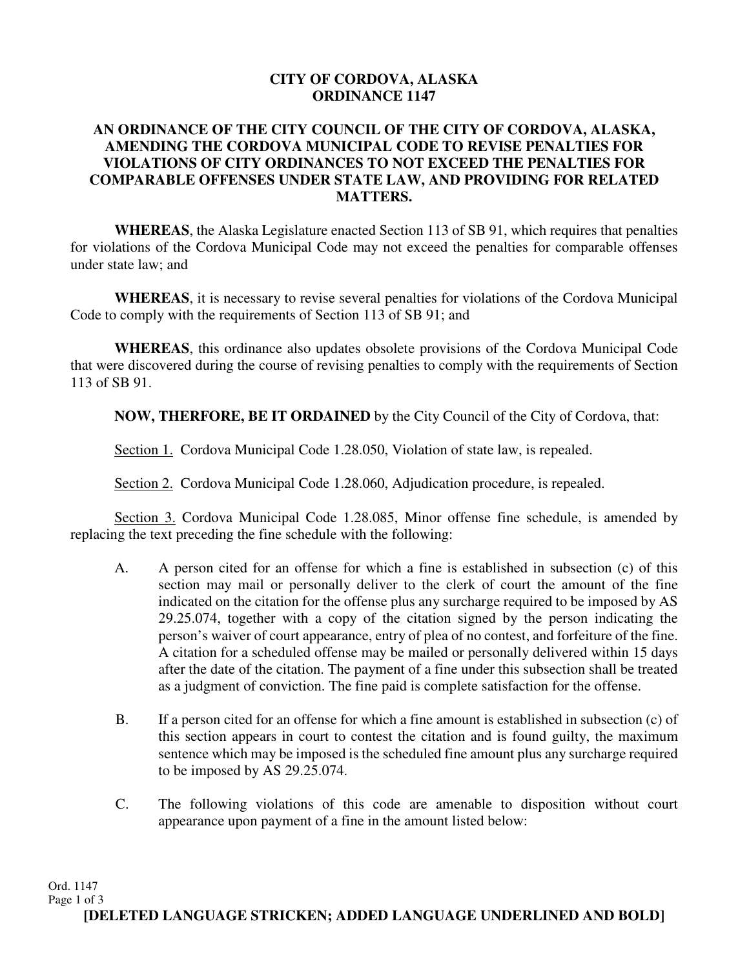## **CITY OF CORDOVA, ALASKA ORDINANCE 1147**

## **AN ORDINANCE OF THE CITY COUNCIL OF THE CITY OF CORDOVA, ALASKA, AMENDING THE CORDOVA MUNICIPAL CODE TO REVISE PENALTIES FOR VIOLATIONS OF CITY ORDINANCES TO NOT EXCEED THE PENALTIES FOR COMPARABLE OFFENSES UNDER STATE LAW, AND PROVIDING FOR RELATED MATTERS.**

**WHEREAS**, the Alaska Legislature enacted Section 113 of SB 91, which requires that penalties for violations of the Cordova Municipal Code may not exceed the penalties for comparable offenses under state law; and

**WHEREAS**, it is necessary to revise several penalties for violations of the Cordova Municipal Code to comply with the requirements of Section 113 of SB 91; and

**WHEREAS**, this ordinance also updates obsolete provisions of the Cordova Municipal Code that were discovered during the course of revising penalties to comply with the requirements of Section 113 of SB 91.

**NOW, THERFORE, BE IT ORDAINED** by the City Council of the City of Cordova, that:

Section 1. Cordova Municipal Code 1.28.050, Violation of state law, is repealed.

Section 2. Cordova Municipal Code 1.28.060, Adjudication procedure, is repealed.

Section 3. Cordova Municipal Code 1.28.085, Minor offense fine schedule, is amended by replacing the text preceding the fine schedule with the following:

- A. A person cited for an offense for which a fine is established in subsection (c) of this section may mail or personally deliver to the clerk of court the amount of the fine indicated on the citation for the offense plus any surcharge required to be imposed by AS 29.25.074, together with a copy of the citation signed by the person indicating the person's waiver of court appearance, entry of plea of no contest, and forfeiture of the fine. A citation for a scheduled offense may be mailed or personally delivered within 15 days after the date of the citation. The payment of a fine under this subsection shall be treated as a judgment of conviction. The fine paid is complete satisfaction for the offense.
- B. If a person cited for an offense for which a fine amount is established in subsection (c) of this section appears in court to contest the citation and is found guilty, the maximum sentence which may be imposed is the scheduled fine amount plus any surcharge required to be imposed by AS 29.25.074.
- C. The following violations of this code are amenable to disposition without court appearance upon payment of a fine in the amount listed below: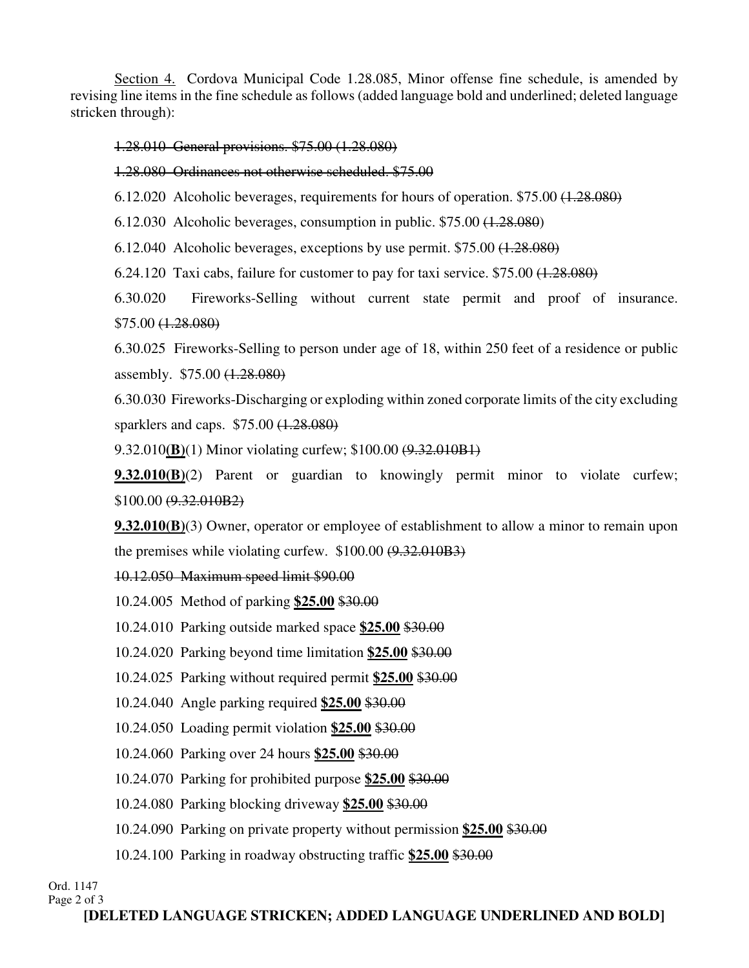Section 4. Cordova Municipal Code 1.28.085, Minor offense fine schedule, is amended by revising line items in the fine schedule as follows (added language bold and underlined; deleted language stricken through):

1.28.010 General provisions. \$75.00 (1.28.080)

1.28.080 Ordinances not otherwise scheduled. \$75.00

6.12.020 Alcoholic beverages, requirements for hours of operation. \$75.00 (1.28.080)

6.12.030 Alcoholic beverages, consumption in public. \$75.00 (1.28.080)

6.12.040 Alcoholic beverages, exceptions by use permit. \$75.00 (1.28.080)

6.24.120 Taxi cabs, failure for customer to pay for taxi service.  $$75.00 \ (1.28.080)$ 

6.30.020 Fireworks-Selling without current state permit and proof of insurance. \$75.00 (1.28.080)

6.30.025 Fireworks-Selling to person under age of 18, within 250 feet of a residence or public assembly. \$75.00 (1.28.080)

6.30.030 Fireworks-Discharging or exploding within zoned corporate limits of the city excluding sparklers and caps. \$75.00 (1.28.080)

9.32.010**(B)**(1) Minor violating curfew; \$100.00 (9.32.010B1)

**9.32.010(B)**(2) Parent or guardian to knowingly permit minor to violate curfew; \$100.00 (9.32.010B2)

**9.32.010(B)**(3) Owner, operator or employee of establishment to allow a minor to remain upon the premises while violating curfew.  $$100.00$   $(9.32.010B3)$ 

10.12.050 Maximum speed limit \$90.00

10.24.005 Method of parking **\$25.00** \$30.00

10.24.010 Parking outside marked space **\$25.00** \$30.00

10.24.020 Parking beyond time limitation **\$25.00** \$30.00

10.24.025 Parking without required permit **\$25.00** \$30.00

10.24.040 Angle parking required **\$25.00** \$30.00

10.24.050 Loading permit violation **\$25.00** \$30.00

10.24.060 Parking over 24 hours **\$25.00** \$30.00

10.24.070 Parking for prohibited purpose **\$25.00** \$30.00

10.24.080 Parking blocking driveway **\$25.00** \$30.00

10.24.090 Parking on private property without permission **\$25.00** \$30.00

10.24.100 Parking in roadway obstructing traffic **\$25.00** \$30.00

Ord. 1147 Page 2 of 3

**[DELETED LANGUAGE STRICKEN; ADDED LANGUAGE UNDERLINED AND BOLD]**